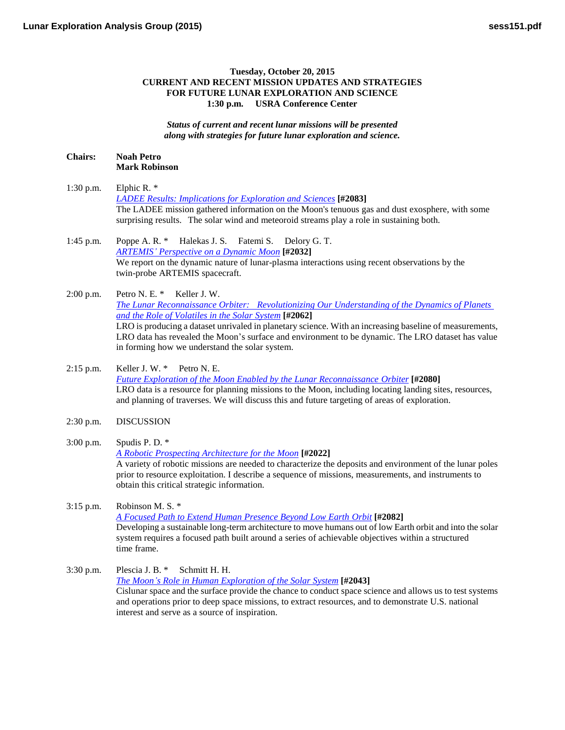## **Tuesday, October 20, 2015 CURRENT AND RECENT MISSION UPDATES AND STRATEGIES FOR FUTURE LUNAR EXPLORATION AND SCIENCE 1:30 p.m. USRA Conference Center**

*Status of current and recent lunar missions will be presented along with strategies for future lunar exploration and science.*

## **Chairs: Noah Petro Mark Robinson**

- 1:30 p.m. Elphic R. \* *[LADEE Results: Implications for Exploration and](http://www.hou.usra.edu/meetings/leag2015/pdf/2083.pdf) Sciences* **[#2083]** The LADEE mission gathered information on the Moon's tenuous gas and dust exosphere, with some surprising results. The solar wind and meteoroid streams play a role in sustaining both.
- 1:45 p.m. Poppe A. R. \* Halekas J. S. Fatemi S. Delory G. T. *ARTEMIS' [Perspective on a Dynamic](http://www.hou.usra.edu/meetings/leag2015/pdf/2032.pdf) Moon* **[#2032]** We report on the dynamic nature of lunar-plasma interactions using recent observations by the twin-probe ARTEMIS spacecraft.
- 2:00 p.m. Petro N. E. \* Keller J. W. *[The Lunar Reconnaissance Orbiter: Revolutionizing Our Understanding of the Dynamics of Planets](http://www.hou.usra.edu/meetings/leag2015/pdf/2062.pdf)  [and the Role of Volatiles in the Solar](http://www.hou.usra.edu/meetings/leag2015/pdf/2062.pdf) System* **[#2062]** LRO is producing a dataset unrivaled in planetary science. With an increasing baseline of measurements, LRO data has revealed the Moon's surface and environment to be dynamic. The LRO dataset has value in forming how we understand the solar system.
- 2:15 p.m. Keller J. W. \* Petro N. E. *[Future Exploration of the Moon Enabled by the Lunar Reconnaissance](http://www.hou.usra.edu/meetings/leag2015/pdf/2080.pdf) Orbiter* **[#2080]** LRO data is a resource for planning missions to the Moon, including locating landing sites, resources, and planning of traverses. We will discuss this and future targeting of areas of exploration.
- 2:30 p.m. DISCUSSION
- 3:00 p.m. Spudis P. D. \* *[A Robotic Prospecting Architecture for the](http://www.hou.usra.edu/meetings/leag2015/pdf/2022.pdf) Moon* **[#2022]** A variety of robotic missions are needed to characterize the deposits and environment of the lunar poles prior to resource exploitation. I describe a sequence of missions, measurements, and instruments to obtain this critical strategic information.
- 3:15 p.m. Robinson M. S. \* *[A Focused Path to Extend Human Presence Beyond Low Earth](http://www.hou.usra.edu/meetings/leag2015/pdf/2082.pdf) Orbit* **[#2082]** Developing a sustainable long-term architecture to move humans out of low Earth orbit and into the solar system requires a focused path built around a series of achievable objectives within a structured time frame.
- 3:30 p.m. Plescia J. B. \* Schmitt H. H. *[The Moon's Role in Human Exploration of the Solar](http://www.hou.usra.edu/meetings/leag2015/pdf/2043.pdf) System* **[#2043]** Cislunar space and the surface provide the chance to conduct space science and allows us to test systems and operations prior to deep space missions, to extract resources, and to demonstrate U.S. national interest and serve as a source of inspiration.